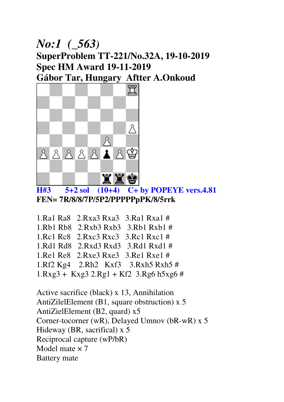#### *No:1 (\_563)* **SuperProblem TT-221/No.32A, 19-10-2019 Spec HM Award 19-11-2019 Gábor Tar, Hungary Aftter A.Onkoud**



**H#3 5+2 sol (10+4) C+ by POPEYE vers.4.81 FEN= 7R/8/8/7P/5P2/PPPPPpPK/8/5rrk** 

1.Ra1 Ra8 2.Rxa3 Rxa3 3.Ra1 Rxa1 # 1.Rb1 Rb8 2.Rxb3 Rxb3 3.Rb1 Rxb1 # 1.Rc1 Rc8 2.Rxc3 Rxc3 3.Rc1 Rxc1 # 1.Rd1 Rd8 2.Rxd3 Rxd3 3.Rd1 Rxd1 # 1.Re1 Re8 2.Rxe3 Rxe3 3.Re1 Rxe1 # 1.Rf2 Kg4 2.Rh2 Kxf3 3.Rxh5 Rxh5 #  $1. Rxg3 + Kxg3 2.Rg1 + Kf2 3.Rg6 h5xg6 #$ 

Active sacrifice (black) x 13, Annihilation AntiZilelElement (B1, square obstruction) x 5 AntiZielElement (B2, quard) x5 Corner-tocorner (wR), Delayed Umnov (bR-wR) x 5 Hideway (BR, sacrifical) x 5 Reciprocal capture (wP/bR) Model mate  $\times$  7 Battery mate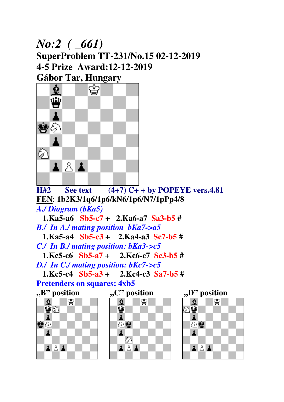## *No:2 ( \_661)*  **SuperProblem TT-231/No.15 02-12-2019 4-5 Prize Award:12-12-2019 Gábor Tar, Hungary**



 $\overline{H2}$  See text  $(4+7)$  C+ + by POPEYE vers.4.81 **FEN**: **1b2K3/1q6/1p6/kN6/1p6/N7/1pPp4/8**  *A./ Diagram (bKa5)* 

 **1.Ka5-a6 Sb5-c7 + 2.Ka6-a7 Sa3-b5 #**  *B./ In A./ mating position bKa7->a5*   **1.Ka5-a4 Sb5-c3 + 2.Ka4-a3 Sc7-b5 #** 

*C./ In B./ mating position: bKa3->c5* 

 **1.Kc5-c6 Sb5-a7 + 2.Kc6-c7 Sc3-b5 #**  *D./ In C./ mating position: bKc7->c5* 

 **1.Kc5-c4 Sb5-a3 + 2.Kc4-c3 Sa7-b5 # Pretenders on squares: 4xb5** 









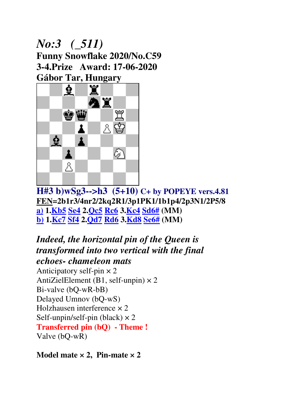## *No:3 (\_511)*  **Funny Snowflake 2020/No.C59 3-4.Prize Award: 17-06-2020 Gábor Tar, Hungary**



**H#3 b)wSg3-->h3 (5+10) C+ by POPEYE vers.4.81 FEN=2b1r3/4nr2/2kq2R1/3p1PK1/1b1p4/2p3N1/2P5/8 a) 1.Kb5 Se4 2.Qc5 Rc6 3.Kc4 Sd6# (MM) b) 1.Kc7 Sf4 2.Qd7 Rd6 3.Kd8 Se6# (MM)**

*Indeed, the horizontal pin of the Queen is transformed into two vertical with the final echoes- chameleon mats* Anticipatory self-pin  $\times$  2 AntiZielElement (B1, self-unpin)  $\times$  2 Bi-valve (bQ-wR-bB) Delayed Umnov (bQ-wS) Holzhausen interference × 2 Self-unpin/self-pin (black)  $\times$  2 **Transferred pin (bQ) - Theme !**  Valve (bQ-wR)

**Model mate × 2, Pin-mate × 2**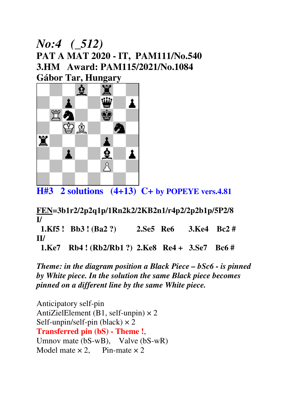#### *No:4 (\_512)*  **PAT A MAT 2020 - IT, PAM111/No.540 3.HM Award: PAM115/2021/No.1084 Gábor Tar, Hungary**



**H#3 2 solutions (4+13) C+ by POPEYE vers.4.81**

**FEN=3b1r2/2p2q1p/1Rn2k2/2KB2n1/r4p2/2p2b1p/5P2/8 I/** 

 **1.Kf5 ! Bb3 ! (Ba2 ?) 2.Se5 Re6 3.Ke4 Bc2 # II/** 

 **1.Ke7 Rb4 ! (Rb2/Rb1 ?) 2.Ke8 Re4 + 3.Se7 Bc6 #** 

*Theme: in the diagram position a Black Piece – bSc6 - is pinned by White piece. In the solution the same Black piece becomes pinned on a different line by the same White piece.*

Anticipatory self-pin AntiZielElement (B1, self-unpin)  $\times$  2 Self-unpin/self-pin (black)  $\times$  2 **Transferred pin (bS) - Theme !**, Umnov mate (bS-wB), Valve (bS-wR) Model mate  $\times 2$ , Pin-mate  $\times 2$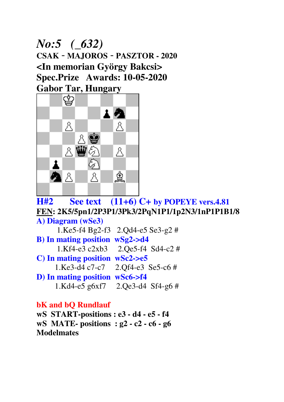*No:5 (\_632)*  **CSAK** – **MAJOROS** – **PASZTOR - 2020 <In memorian György Bakcsi> Spec.Prize Awards: 10-05-2020 Gabor Tar, Hungary** 



**H#2 See text (11+6) C+ by POPEYE vers.4.81 FEN: 2K5/5pn1/2P3P1/3Pk3/2PqN1P1/1p2N3/1nP1P1B1/8 A) Diagram (wSe3)**  1.Ke5-f4 Bg2-f3 2.Qd4-e5 Se3-g2 # **B) In mating position wSg2->d4**  1.Kf4-e3 c2xb3 2.Qe5-f4 Sd4-c2 # **C) In mating position wSc2->e5**  1.Ke3-d4 c7-c7 2.Qf4-e3 Se5-c6 # **D) In mating position wSc6->f4**  1.Kd4-e5 g6xf7 2.Qe3-d4 Sf4-g6 #

#### **bK and bQ Rundlauf**

**wS START-positions : e3 - d4 - e5 - f4 wS MATE- positions : g2 - c2 - c6 - g6 Modelmates**